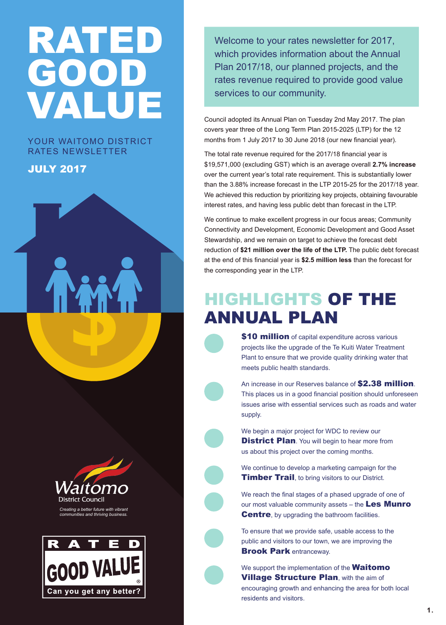## RATED GOOD VALUE

#### YOUR WAITOMO DISTRICT RATES NEWSLETTER

#### JULY 2017





Welcome to your rates newsletter for 2017, which provides information about the Annual Plan 2017/18, our planned projects, and the rates revenue required to provide good value services to our community.

Council adopted its Annual Plan on Tuesday 2nd May 2017. The plan covers year three of the Long Term Plan 2015-2025 (LTP) for the 12 months from 1 July 2017 to 30 June 2018 (our new financial year).

The total rate revenue required for the 2017/18 financial year is \$19,571,000 (excluding GST) which is an average overall **2.7% increase** over the current year's total rate requirement. This is substantially lower than the 3.88% increase forecast in the LTP 2015-25 for the 2017/18 year. We achieved this reduction by prioritizing key projects, obtaining favourable interest rates, and having less public debt than forecast in the LTP.

We continue to make excellent progress in our focus areas; Community Connectivity and Development, Economic Development and Good Asset Stewardship, and we remain on target to achieve the forecast debt reduction of **\$21 million over the life of the LTP.** The public debt forecast at the end of this financial year is **\$2.5 million less** than the forecast for the corresponding year in the LTP.

#### HIGHLIGHTS OF THE ANNUAL PLAN

\$10 million of capital expenditure across various projects like the upgrade of the Te Kuiti Water Treatment Plant to ensure that we provide quality drinking water that meets public health standards.

An increase in our Reserves balance of \$2.38 million. This places us in a good financial position should unforeseen issues arise with essential services such as roads and water supply.

We begin a major project for WDC to review our **District Plan**. You will begin to hear more from us about this project over the coming months.

We continue to develop a marketing campaign for the **Timber Trail**, to bring visitors to our District.

We reach the final stages of a phased upgrade of one of our most valuable community assets – the Les Munro Centre, by upgrading the bathroom facilities.

To ensure that we provide safe, usable access to the public and visitors to our town, we are improving the **Brook Park entranceway.** 

We support the implementation of the **Waitomo Village Structure Plan, with the aim of** encouraging growth and enhancing the area for both local residents and visitors.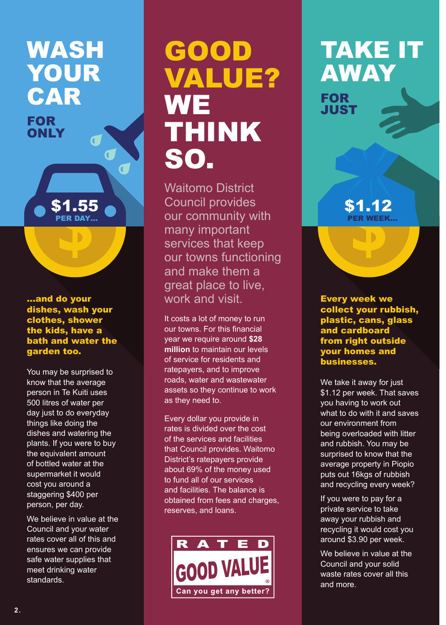## WASH YOUR CAR

FOR **ONLY** 

...and do your dishes, wash your clothes, shower the kids, have a bath and water the garden too.

\$1.55 PER DAY…

 $\overline{\mathbf{C}}$ 

You may be surprised to know that the average person in Te Kuiti uses 500 litres of water per day just to do everyday things like doing the dishes and watering the plants. If you were to buy the equivalent amount of bottled water at the supermarket it would cost you around a staggering \$400 per person, per day.

We believe in value at the Council and your water rates cover all of this and ensures we can provide safe water supplies that meet drinking water standards.

## GOOD VALUE? **WE** THINK SO.

Waitomo District Council provides our community with many important services that keep our towns functioning and make them a great place to live, work and visit.

It costs a lot of money to run our towns. For this financial year we require around **\$28 million** to maintain our levels of service for residents and ratepayers, and to improve roads, water and wastewater assets so they continue to work as they need to.

Every dollar you provide in rates is divided over the cost of the services and facilities that Council provides. Waitomo District's ratepayers provide about 69% of the money used to fund all of our services and facilities. The balance is obtained from fees and charges, reserves, and loans.



## TAKE IT AWAY

FOR **JUST** 

> \$1.12 PER WEEK…

Every week we collect your rubbish, plastic, cans, glass and cardboard from right outside your homes and businesses.

We take it away for just \$1.12 per week. That saves you having to work out what to do with it and saves our environment from being overloaded with litter and rubbish. You may be surprised to know that the average property in Piopio puts out 16kgs of rubbish and recycling every week?

If you were to pay for a private service to take away your rubbish and recycling it would cost you around \$3.90 per week.

We believe in value at the Council and your solid waste rates cover all this and more.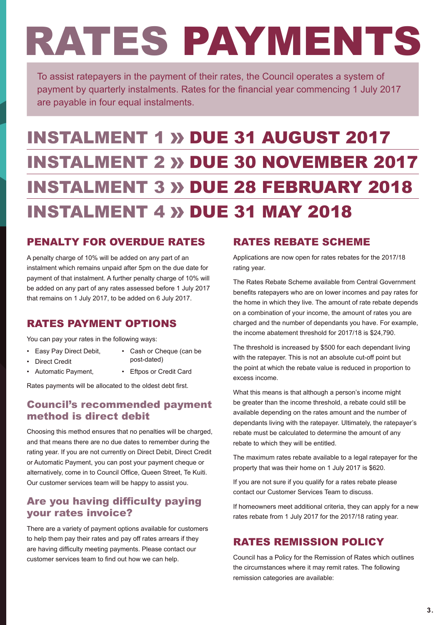# RATES PAYMENTS

To assist ratepayers in the payment of their rates, the Council operates a system of payment by quarterly instalments. Rates for the financial year commencing 1 July 2017 are payable in four equal instalments.

### **INSTALMENT 1 » DUE 31 AUGUST 2017 INSTALMENT 2 » DUE 30 NOVEMBER 2017 INSTALMENT 3 » DUE 28 FEBRUARY 2018 INSTALMENT 4 » DUE 31 MAY 2018**

#### PENALTY FOR OVERDUE RATES

A penalty charge of 10% will be added on any part of an instalment which remains unpaid after 5pm on the due date for payment of that instalment. A further penalty charge of 10% will be added on any part of any rates assessed before 1 July 2017 that remains on 1 July 2017, to be added on 6 July 2017.

#### RATES PAYMENT OPTIONS

You can pay your rates in the following ways:

• Easy Pay Direct Debit,

• Automatic Payment,

- Direct Credit
- Cash or Cheque (can be post-dated)
- Eftpos or Credit Card

Rates payments will be allocated to the oldest debt first.

#### Council's recommended payment method is direct debit

Choosing this method ensures that no penalties will be charged, and that means there are no due dates to remember during the rating year. If you are not currently on Direct Debit, Direct Credit or Automatic Payment, you can post your payment cheque or alternatively, come in to Council Office, Queen Street, Te Kuiti. Our customer services team will be happy to assist you.

#### Are you having difficulty paying your rates invoice?

There are a variety of payment options available for customers to help them pay their rates and pay off rates arrears if they are having difficulty meeting payments. Please contact our customer services team to find out how we can help.

#### RATES REBATE SCHEME

Applications are now open for rates rebates for the 2017/18 rating year.

The Rates Rebate Scheme available from Central Government benefits ratepayers who are on lower incomes and pay rates for the home in which they live. The amount of rate rebate depends on a combination of your income, the amount of rates you are charged and the number of dependants you have. For example, the income abatement threshold for 2017/18 is \$24,790.

The threshold is increased by \$500 for each dependant living with the ratepayer. This is not an absolute cut-off point but the point at which the rebate value is reduced in proportion to excess income.

What this means is that although a person's income might be greater than the income threshold, a rebate could still be available depending on the rates amount and the number of dependants living with the ratepayer. Ultimately, the ratepayer's rebate must be calculated to determine the amount of any rebate to which they will be entitled.

The maximum rates rebate available to a legal ratepayer for the property that was their home on 1 July 2017 is \$620.

If you are not sure if you qualify for a rates rebate please contact our Customer Services Team to discuss.

If homeowners meet additional criteria, they can apply for a new rates rebate from 1 July 2017 for the 2017/18 rating year.

#### RATES REMISSION POLICY

Council has a Policy for the Remission of Rates which outlines the circumstances where it may remit rates. The following remission categories are available: